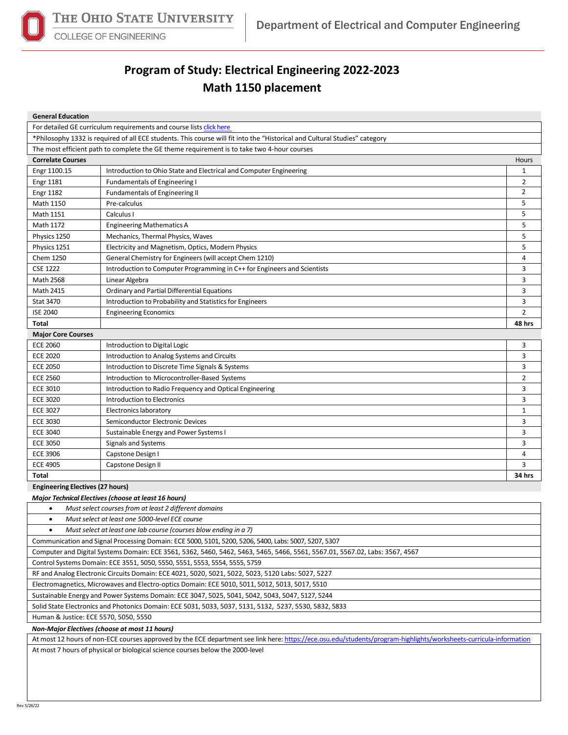

## **COLLEGE OF ENGINEERING**

## **Program of Study: Electrical Engineering 2022-2023 Math 1150 placement**

| <b>General Education</b>                                                                                                    |                                                                          |                |  |  |  |  |
|-----------------------------------------------------------------------------------------------------------------------------|--------------------------------------------------------------------------|----------------|--|--|--|--|
|                                                                                                                             | For detailed GE curriculum requirements and course lists click here      |                |  |  |  |  |
| *Philosophy 1332 is required of all ECE students. This course will fit into the "Historical and Cultural Studies" category  |                                                                          |                |  |  |  |  |
| The most efficient path to complete the GE theme requirement is to take two 4-hour courses                                  |                                                                          |                |  |  |  |  |
| <b>Correlate Courses</b>                                                                                                    |                                                                          | Hours          |  |  |  |  |
| Engr 1100.15                                                                                                                | Introduction to Ohio State and Electrical and Computer Engineering       | $\mathbf{1}$   |  |  |  |  |
| <b>Engr 1181</b>                                                                                                            | <b>Fundamentals of Engineering I</b>                                     | 2              |  |  |  |  |
| <b>Engr 1182</b>                                                                                                            | Fundamentals of Engineering II                                           | $\overline{2}$ |  |  |  |  |
| Math 1150                                                                                                                   | Pre-calculus                                                             | 5              |  |  |  |  |
| Math 1151                                                                                                                   | Calculus I                                                               | 5              |  |  |  |  |
| Math 1172                                                                                                                   | <b>Engineering Mathematics A</b>                                         | 5              |  |  |  |  |
| Physics 1250                                                                                                                | Mechanics, Thermal Physics, Waves                                        | 5              |  |  |  |  |
| Physics 1251                                                                                                                | Electricity and Magnetism, Optics, Modern Physics                        | 5              |  |  |  |  |
| Chem 1250                                                                                                                   | General Chemistry for Engineers (will accept Chem 1210)                  | 4              |  |  |  |  |
| <b>CSE 1222</b>                                                                                                             | Introduction to Computer Programming in C++ for Engineers and Scientists | 3              |  |  |  |  |
| <b>Math 2568</b>                                                                                                            | Linear Algebra                                                           | 3              |  |  |  |  |
| <b>Math 2415</b>                                                                                                            | Ordinary and Partial Differential Equations                              | 3              |  |  |  |  |
| <b>Stat 3470</b>                                                                                                            | Introduction to Probability and Statistics for Engineers                 | 3              |  |  |  |  |
| <b>ISE 2040</b>                                                                                                             | <b>Engineering Economics</b>                                             | $\overline{2}$ |  |  |  |  |
| Total                                                                                                                       |                                                                          | 48 hrs         |  |  |  |  |
| <b>Major Core Courses</b>                                                                                                   |                                                                          |                |  |  |  |  |
| <b>ECE 2060</b>                                                                                                             | Introduction to Digital Logic                                            | 3              |  |  |  |  |
| <b>ECE 2020</b>                                                                                                             | Introduction to Analog Systems and Circuits                              | 3              |  |  |  |  |
| <b>ECE 2050</b>                                                                                                             | Introduction to Discrete Time Signals & Systems                          | 3              |  |  |  |  |
| <b>ECE 2560</b>                                                                                                             | Introduction to Microcontroller-Based Systems                            | 2              |  |  |  |  |
| <b>ECE 3010</b>                                                                                                             | Introduction to Radio Frequency and Optical Engineering                  | 3              |  |  |  |  |
| <b>ECE 3020</b>                                                                                                             | Introduction to Electronics                                              | 3              |  |  |  |  |
| <b>ECE 3027</b>                                                                                                             | Electronics laboratory                                                   | 1              |  |  |  |  |
| <b>ECE 3030</b>                                                                                                             | Semiconductor Electronic Devices                                         | 3              |  |  |  |  |
| <b>ECE 3040</b>                                                                                                             | Sustainable Energy and Power Systems I                                   | 3              |  |  |  |  |
| <b>ECE 3050</b>                                                                                                             | Signals and Systems                                                      | 3              |  |  |  |  |
| <b>ECE 3906</b>                                                                                                             | Capstone Design I                                                        | 4              |  |  |  |  |
| <b>ECE 4905</b>                                                                                                             | Capstone Design II                                                       | 3              |  |  |  |  |
| Total                                                                                                                       |                                                                          | 34 hrs         |  |  |  |  |
| <b>Engineering Electives (27 hours)</b>                                                                                     |                                                                          |                |  |  |  |  |
| <b>Major Technical Electives (choose at least 16 hours)</b>                                                                 |                                                                          |                |  |  |  |  |
| Must select courses from at least 2 different domains                                                                       |                                                                          |                |  |  |  |  |
| Must select at least one 5000-level ECE course<br>$\bullet$                                                                 |                                                                          |                |  |  |  |  |
| Must select at least one lab course (courses blow ending in a 7)                                                            |                                                                          |                |  |  |  |  |
| Communication and Signal Processing Domain: ECE 5000, 5101, 5200, 5206, 5400, Labs: 5007, 5207, 5307                        |                                                                          |                |  |  |  |  |
| Computer and Digital Systems Domain: ECE 3561, 5362, 5460, 5462, 5463, 5465, 5466, 5561, 5567.01, 5567.02, Labs: 3567, 4567 |                                                                          |                |  |  |  |  |
| Control Systems Domain: ECE 3551, 5050, 5550, 5551, 5553, 5554, 5555, 5759                                                  |                                                                          |                |  |  |  |  |
| RF and Analog Electronic Circuits Domain: ECE 4021, 5020, 5021, 5022, 5023, 5120 Labs: 5027, 5227                           |                                                                          |                |  |  |  |  |
| Electromagnetics, Microwaves and Electro-optics Domain: ECE 5010, 5011, 5012, 5013, 5017, 5510                              |                                                                          |                |  |  |  |  |
| Sustainable Energy and Power Systems Domain: ECE 3047, 5025, 5041, 5042, 5043, 5047, 5127, 5244                             |                                                                          |                |  |  |  |  |
| Solid State Electronics and Photonics Domain: ECE 5031, 5033, 5037, 5131, 5132, 5237, 5530, 5832, 5833                      |                                                                          |                |  |  |  |  |
| Human & Justice: ECE 5570, 5050, 5550                                                                                       |                                                                          |                |  |  |  |  |

*Non-Major Electives (choose at most 11 hours)*

At most 12 hours of non-ECE courses approved by the ECE department see link here[: https://ece.osu.edu/students/program-highlights/worksheets-curricula-information](https://ece.osu.edu/students/program-highlights/worksheets-curricula-information)

At most 7 hours of physical or biological science courses below the 2000-level